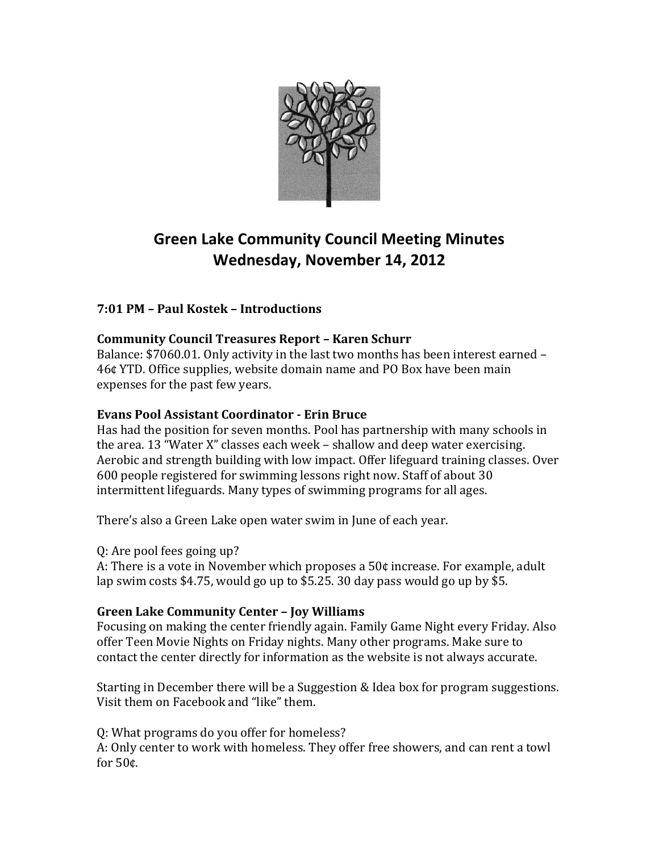

# **Green Lake Community Council Meeting Minutes Wednesday, November 14, 2012**

# **7:01 PM – Paul Kostek – Introductions**

# **Community Council Treasures Report – Karen Schurr**

Balance: \$7060.01. Only activity in the last two months has been interest earned – 46¢ YTD. Office supplies, website domain name and PO Box have been main expenses for the past few years.

## **Evans Pool Assistant Coordinator - Erin Bruce**

Has had the position for seven months. Pool has partnership with many schools in the area. 13 "Water X" classes each week – shallow and deep water exercising. Aerobic and strength building with low impact. Offer lifeguard training classes. Over 600 people registered for swimming lessons right now. Staff of about 30 intermittent lifeguards. Many types of swimming programs for all ages.

There's also a Green Lake open water swim in June of each year.

Q: Are pool fees going up?

A: There is a vote in November which proposes a 50¢ increase. For example, adult lap swim costs \$4.75, would go up to \$5.25. 30 day pass would go up by \$5.

# **Green Lake Community Center – Joy Williams**

Focusing on making the center friendly again. Family Game Night every Friday. Also offer Teen Movie Nights on Friday nights. Many other programs. Make sure to contact the center directly for information as the website is not always accurate.

Starting in December there will be a Suggestion & Idea box for program suggestions. Visit them on Facebook and "like" them.

Q: What programs do you offer for homeless? A: Only center to work with homeless. They offer free showers, and can rent a towl for 50¢.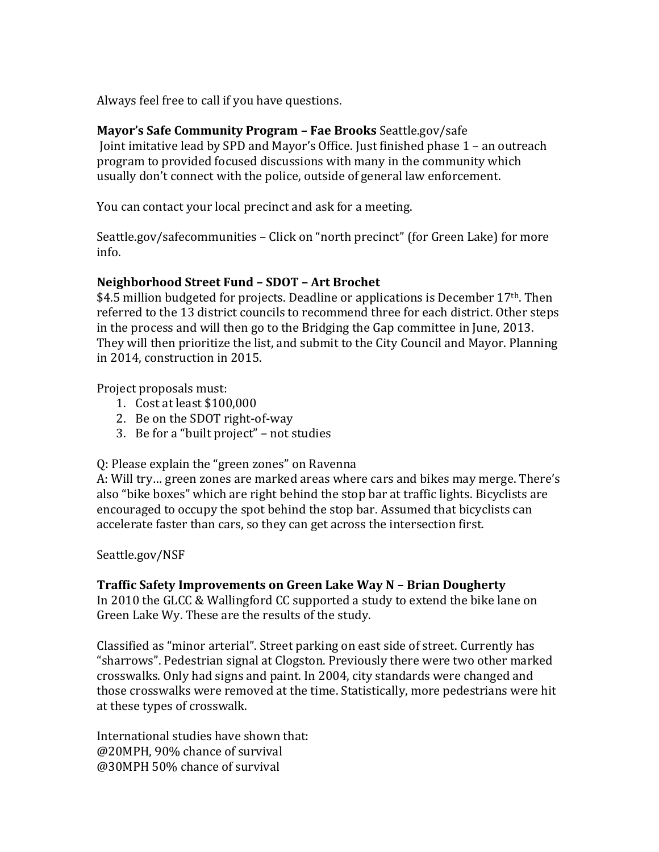Always feel free to call if you have questions.

## **Mayor's Safe Community Program – Fae Brooks** Seattle.gov/safe

Joint imitative lead by SPD and Mayor's Office. Just finished phase 1 – an outreach program to provided focused discussions with many in the community which usually don't connect with the police, outside of general law enforcement.

You can contact your local precinct and ask for a meeting.

Seattle.gov/safecommunities – Click on "north precinct" (for Green Lake) for more info.

#### **Neighborhood Street Fund – SDOT – Art Brochet**

\$4.5 million budgeted for projects. Deadline or applications is December  $17<sup>th</sup>$ . Then referred to the 13 district councils to recommend three for each district. Other steps in the process and will then go to the Bridging the Gap committee in June, 2013. They will then prioritize the list, and submit to the City Council and Mayor. Planning in 2014, construction in 2015.

Project proposals must:

- 1. Cost at least \$100,000
- 2. Be on the SDOT right-of-way
- 3. Be for a "built project" not studies

Q: Please explain the "green zones" on Ravenna

A: Will try… green zones are marked areas where cars and bikes may merge. There's also "bike boxes" which are right behind the stop bar at traffic lights. Bicyclists are encouraged to occupy the spot behind the stop bar. Assumed that bicyclists can accelerate faster than cars, so they can get across the intersection first.

#### Seattle.gov/NSF

## **Traffic Safety Improvements on Green Lake Way N – Brian Dougherty**

In 2010 the GLCC & Wallingford CC supported a study to extend the bike lane on Green Lake Wy. These are the results of the study.

Classified as "minor arterial". Street parking on east side of street. Currently has "sharrows". Pedestrian signal at Clogston. Previously there were two other marked crosswalks. Only had signs and paint. In 2004, city standards were changed and those crosswalks were removed at the time. Statistically, more pedestrians were hit at these types of crosswalk.

International studies have shown that: @20MPH, 90% chance of survival @30MPH 50% chance of survival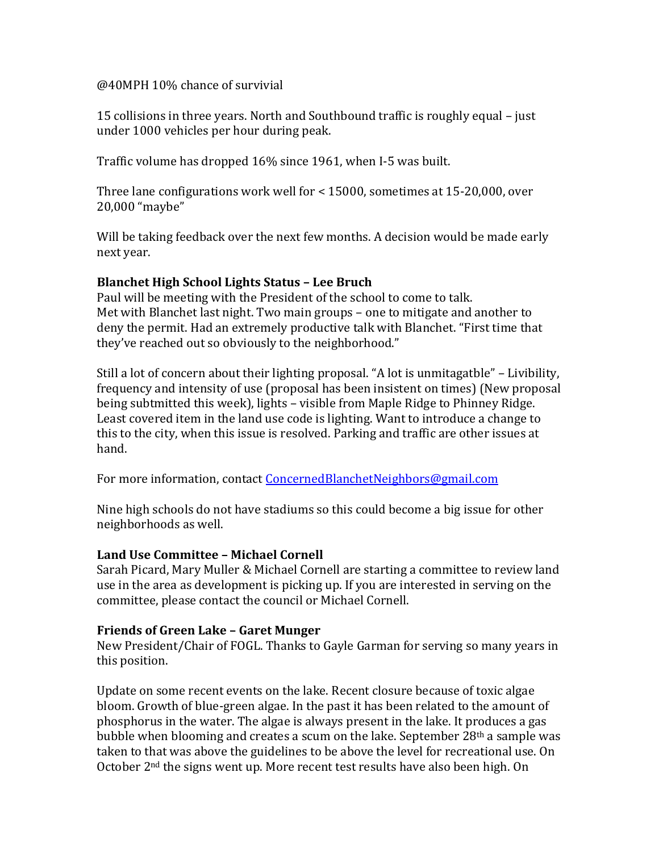#### @40MPH 10% chance of survivial

15 collisions in three years. North and Southbound traffic is roughly equal – just under 1000 vehicles per hour during peak.

Traffic volume has dropped 16% since 1961, when I-5 was built.

Three lane configurations work well for < 15000, sometimes at 15-20,000, over 20,000 "maybe"

Will be taking feedback over the next few months. A decision would be made early next year.

#### **Blanchet High School Lights Status – Lee Bruch**

Paul will be meeting with the President of the school to come to talk. Met with Blanchet last night. Two main groups – one to mitigate and another to deny the permit. Had an extremely productive talk with Blanchet. "First time that they've reached out so obviously to the neighborhood."

Still a lot of concern about their lighting proposal. "A lot is unmitagatble" – Livibility, frequency and intensity of use (proposal has been insistent on times) (New proposal being subtmitted this week), lights – visible from Maple Ridge to Phinney Ridge. Least covered item in the land use code is lighting. Want to introduce a change to this to the city, when this issue is resolved. Parking and traffic are other issues at hand.

For more information, contact [ConcernedBlanchetNeighbors@gmail.com](mailto:ConcernedBlanchetNeighbors@gmail.com)

Nine high schools do not have stadiums so this could become a big issue for other neighborhoods as well.

#### **Land Use Committee – Michael Cornell**

Sarah Picard, Mary Muller & Michael Cornell are starting a committee to review land use in the area as development is picking up. If you are interested in serving on the committee, please contact the council or Michael Cornell.

#### **Friends of Green Lake – Garet Munger**

New President/Chair of FOGL. Thanks to Gayle Garman for serving so many years in this position.

Update on some recent events on the lake. Recent closure because of toxic algae bloom. Growth of blue-green algae. In the past it has been related to the amount of phosphorus in the water. The algae is always present in the lake. It produces a gas bubble when blooming and creates a scum on the lake. September 28th a sample was taken to that was above the guidelines to be above the level for recreational use. On October 2nd the signs went up. More recent test results have also been high. On